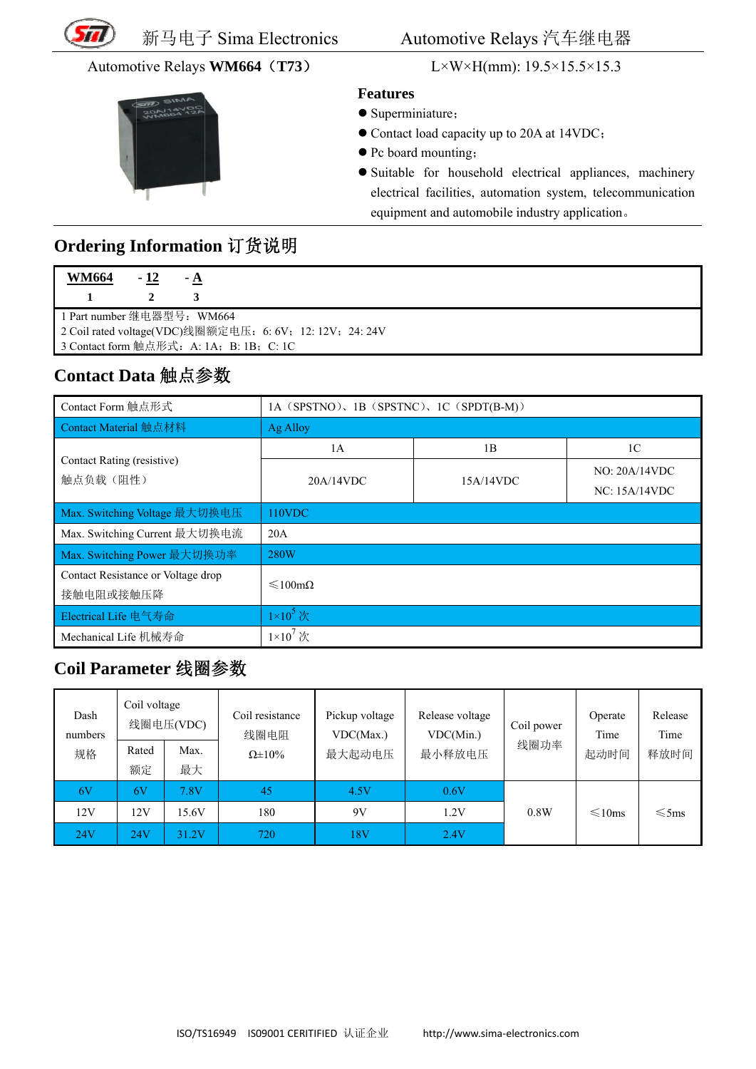

#### Automotive Relays WM664 (T73)



L×W×H(mm):  $19.5 \times 15.5 \times 15.3$ 

#### **Features**

- Superminiature;
- Contact load capacity up to 20A at 14VDC;
- Pc board mounting;
- · Suitable for household electrical appliances, machinery electrical facilities, automation system, telecommunication equipment and automobile industry application.

## Ordering Information 订货说明

| <b>WM664</b>                                             | - 12 | $-A$ |  |  |
|----------------------------------------------------------|------|------|--|--|
|                                                          |      |      |  |  |
| 1 Part number 继电器型号: WM664                               |      |      |  |  |
| 2 Coil rated voltage(VDC)线圈额定电压: 6: 6V; 12: 12V; 24: 24V |      |      |  |  |
| 3 Contact form 触点形式: A: 1A; B: 1B; C: 1C                 |      |      |  |  |

### Contact Data 触点参数

| Contact Form 触点形式                               | 1A (SPSTNO), 1B (SPSTNC), 1C (SPDT(B-M)) |           |                                |  |  |
|-------------------------------------------------|------------------------------------------|-----------|--------------------------------|--|--|
| Contact Material 触点材料                           | Ag Alloy                                 |           |                                |  |  |
|                                                 | 1A                                       | 1B        | 1 <sup>C</sup>                 |  |  |
| Contact Rating (resistive)<br>触点负载(阻性)          | 20A/14VDC                                | 15A/14VDC | NO: 20A/14VDC<br>NC: 15A/14VDC |  |  |
| Max. Switching Voltage 最大切换电压                   | 110VDC                                   |           |                                |  |  |
| Max. Switching Current 最大切换电流                   | 20A                                      |           |                                |  |  |
| Max. Switching Power 最大切换功率                     | 280W                                     |           |                                |  |  |
| Contact Resistance or Voltage drop<br>接触电阻或接触压降 | $\leq 100 \text{m}\Omega$                |           |                                |  |  |
| Electrical Life 电气寿命                            | $1\times10^5$ 次                          |           |                                |  |  |
| Mechanical Life 机械寿命                            | $1\times10^7$ 次                          |           |                                |  |  |

## Coil Parameter 线圈参数

| Dash<br>numbers | Coil voltage | 线圈电压(VDC) | Coil resistance<br>线圈电阻 | Pickup voltage<br>VDC(Max.) | Release voltage<br>VDC(Min.) | Coil power | Operate<br>Time | Release<br>Time |
|-----------------|--------------|-----------|-------------------------|-----------------------------|------------------------------|------------|-----------------|-----------------|
| 规格              | Rated        | Max.      | $\Omega \pm 10\%$       | 最大起动电压                      | 最小释放电压                       | 线圈功率       | 起动时间            | 释放时间            |
|                 | 额定           | 最大        |                         |                             |                              |            |                 |                 |
| 6V              | 6V           | 7.8V      | 45                      | 4.5V                        | 0.6V                         |            |                 |                 |
| 12V             | 12V          | 15.6V     | 180                     | 9V                          | 1.2V                         | 0.8W       | $\leq 10$ ms    | $\leq$ 5ms      |
| 24V             | 24V          | 31.2V     | 720                     | 18V                         | 2.4V                         |            |                 |                 |